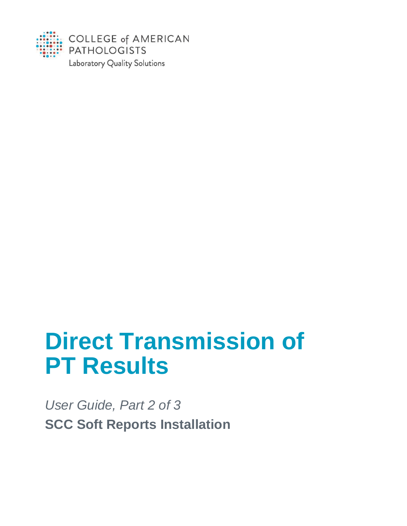

# **Direct Transmission of PT Results**

*User Guide, Part 2 of 3* **SCC Soft Reports Installation**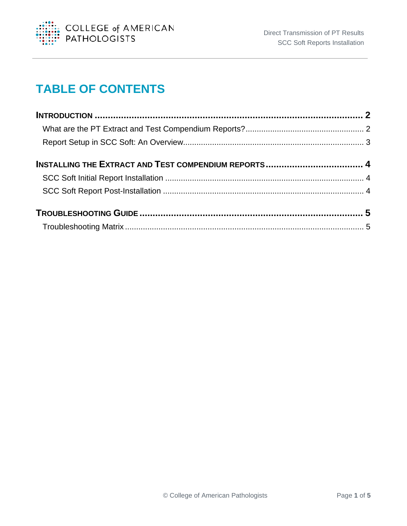

# **TABLE OF CONTENTS**

| <b>INSTALLING THE EXTRACT AND TEST COMPENDIUM REPORTS 4</b> |  |
|-------------------------------------------------------------|--|
|                                                             |  |
|                                                             |  |
|                                                             |  |
|                                                             |  |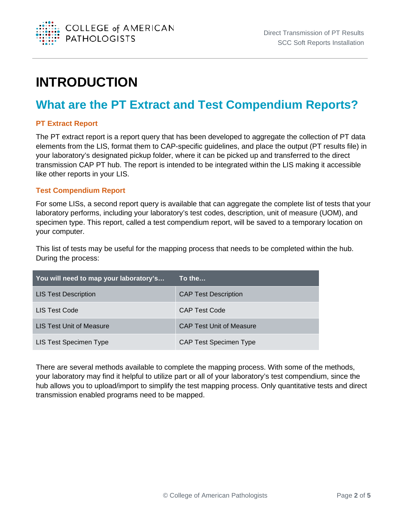

# <span id="page-2-0"></span>**INTRODUCTION**

## <span id="page-2-1"></span>**What are the PT Extract and Test Compendium Reports?**

#### **PT Extract Report**

The PT extract report is a report query that has been developed to aggregate the collection of PT data elements from the LIS, format them to CAP-specific guidelines, and place the output (PT results file) in your laboratory's designated pickup folder, where it can be picked up and transferred to the direct transmission CAP PT hub. The report is intended to be integrated within the LIS making it accessible like other reports in your LIS.

#### **Test Compendium Report**

For some LISs, a second report query is available that can aggregate the complete list of tests that your laboratory performs, including your laboratory's test codes, description, unit of measure (UOM), and specimen type. This report, called a test compendium report, will be saved to a temporary location on your computer.

This list of tests may be useful for the mapping process that needs to be completed within the hub. During the process:

| You will need to map your laboratory's | $\sf{To}$ the .                 |
|----------------------------------------|---------------------------------|
| <b>LIS Test Description</b>            | <b>CAP Test Description</b>     |
| LIS Test Code                          | <b>CAP Test Code</b>            |
| LIS Test Unit of Measure               | <b>CAP Test Unit of Measure</b> |
| LIS Test Specimen Type                 | <b>CAP Test Specimen Type</b>   |

There are several methods available to complete the mapping process. With some of the methods, your laboratory may find it helpful to utilize part or all of your laboratory's test compendium, since the hub allows you to upload/import to simplify the test mapping process. Only quantitative tests and direct transmission enabled programs need to be mapped.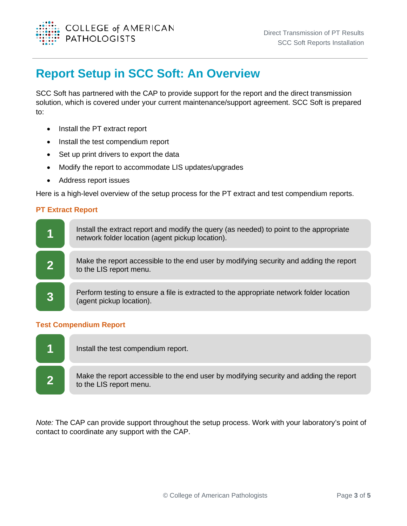

### <span id="page-3-0"></span>**Report Setup in SCC Soft: An Overview**

SCC Soft has partnered with the CAP to provide support for the report and the direct transmission solution, which is covered under your current maintenance/support agreement. SCC Soft is prepared to:

- Install the PT extract report
- Install the test compendium report
- Set up print drivers to export the data
- Modify the report to accommodate LIS updates/upgrades
- Address report issues

Here is a high-level overview of the setup process for the PT extract and test compendium reports.

#### **PT Extract Report**



#### **Test Compendium Report**



*Note:* The CAP can provide support throughout the setup process. Work with your laboratory's point of contact to coordinate any support with the CAP.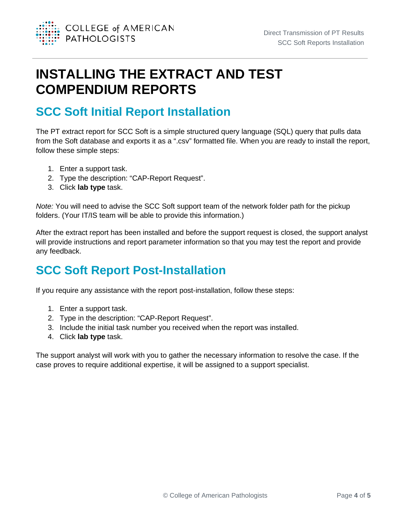

# <span id="page-4-0"></span>**INSTALLING THE EXTRACT AND TEST COMPENDIUM REPORTS**

# <span id="page-4-1"></span>**SCC Soft Initial Report Installation**

The PT extract report for SCC Soft is a simple structured query language (SQL) query that pulls data from the Soft database and exports it as a ".csv" formatted file. When you are ready to install the report, follow these simple steps:

- 1. Enter a support task.
- 2. Type the description: "CAP-Report Request".
- 3. Click **lab type** task.

*Note:* You will need to advise the SCC Soft support team of the network folder path for the pickup folders. (Your IT/IS team will be able to provide this information.)

After the extract report has been installed and before the support request is closed, the support analyst will provide instructions and report parameter information so that you may test the report and provide any feedback.

# <span id="page-4-2"></span>**SCC Soft Report Post-Installation**

If you require any assistance with the report post-installation, follow these steps:

- 1. Enter a support task.
- 2. Type in the description: "CAP-Report Request".
- 3. Include the initial task number you received when the report was installed.
- 4. Click **lab type** task.

The support analyst will work with you to gather the necessary information to resolve the case. If the case proves to require additional expertise, it will be assigned to a support specialist.